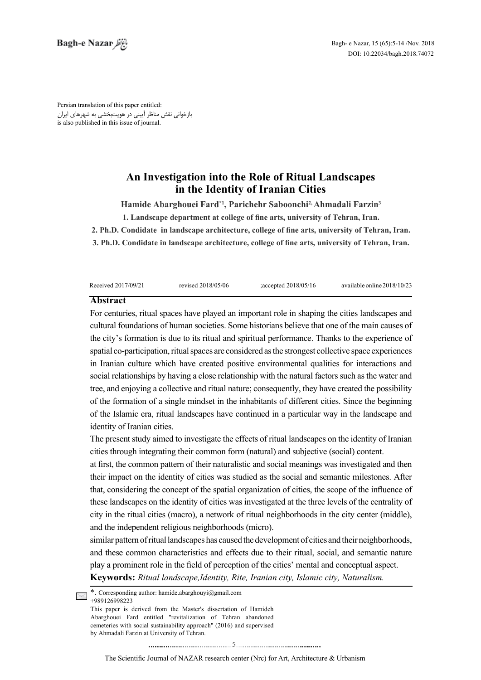Persian translation of this paper entitled: بازخوانی نقش مناظر آیینی در هویتبخشی به شهرهای ایران is also published in this issue of journal.

# An Investigation into the Role of Ritual Landscapes **in the Identity of Iranian Cities**

Hamide Abarghouei Fard<sup>\*1</sup>, Parichehr Saboonchi<sup>2,</sup> Ahmadali Farzin<sup>3</sup>

**1. Landscape department at college of fine arts, university of Tehran, Iran.** 

2. Ph.D. Condidate in landscape architecture, college of fine arts, university of Tehran, Iran.

**3. Ph.D. Condidate in landscape architecture, college of fine arts, university of Tehran, Iran.** 

| Received 2017/09/21 | revised 2018/05/06 | ; accepted $2018/05/16$ | available online 2018/10/23 |
|---------------------|--------------------|-------------------------|-----------------------------|

#### **Abstract**

For centuries, ritual spaces have played an important role in shaping the cities landscapes and cultural foundations of human societies. Some historians believe that one of the main causes of the city's formation is due to its ritual and spiritual performance. Thanks to the experience of spacial co-participation, ritual spaces are considered as the strongest collective space experiences in Iranian culture which have created positive environmental qualities for interactions and social relationships by having a close relationship with the natural factors such as the water and tree, and enjoying a collective and ritual nature; consequently, they have created the possibility of the formation of a single mindset in the inhabitants of different cities. Since the beginning of the Islamic era, ritual landscapes have continued in a particular way in the landscape and identity of Iranian cities.

The present study aimed to investigate the effects of ritual landscapes on the identity of Iranian cities through integrating their common form (natural) and subjective (social) content.

at first, the common pattern of their naturalistic and social meanings was investigated and then their impact on the identity of cities was studied as the social and semantic milestones. After that, considering the concept of the spatial organization of cities, the scope of the influence of these landscapes on the identity of cities was investigated at the three levels of the centrality of city in the ritual cities (macro), a network of ritual neighborhoods in the city center (middle), and the independent religious neighborhoods (micro).

similar pattern of ritual landscapes has caused the development of cities and their neighborhoods, and these common characteristics and effects due to their ritual, social, and semantic nature play a prominent role in the field of perception of the cities' mental and conceptual aspect. **Keywords:** Ritual landscape, Identity, Rite, Iranian city, Islamic city, Naturalism.

\*. Corresponding author: hamide abarghouyi@gmail.com  $\leq$   $*$  COILSpeaks

This paper is derived from the Master's dissertation of Hamideh Abarghouei Fard entitled "revitalization of Tehran abandoned cemeteries with social sustainability approach" (2016) and supervised by Ahmadali Farzin at University of Tehran.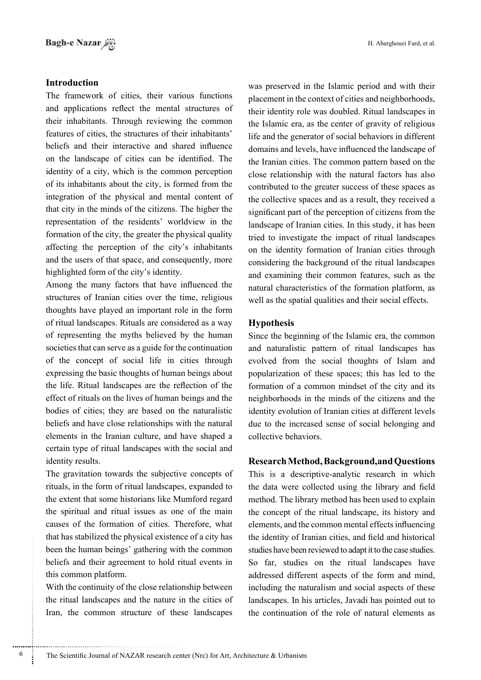## **Introduction**

The framework of cities, their various functions and applications reflect the mental structures of their inhabitants. Through reviewing the common features of cities, the structures of their inhabitants' beliefs and their interactive and shared influence on the landscape of cities can be identified. The identity of a city, which is the common perception of its inhabitants about the city, is formed from the integration of the physical and mental content of that city in the minds of the citizens. The higher the representation of the residents' worldview in the formation of the city, the greater the physical quality affecting the perception of the city's inhabitants and the users of that space, and consequently, more highlighted form of the city's identity.

Among the many factors that have influenced the structures of Iranian cities over the time, religious thoughts have played an important role in the form of ritual landscapes. Rituals are considered as a way of representing the myths believed by the human societies that can serve as a guide for the continuation of the concept of social life in cities through expressing the basic thoughts of human beings about the life. Ritual landscapes are the reflection of the effect of rituals on the lives of human beings and the bodies of cities; they are based on the naturalistic beliefs and have close relationships with the natural elements in the Iranian culture, and have shaped a certain type of ritual landscapes with the social and identity results.

The gravitation towards the subjective concepts of rituals, in the form of ritual landscapes, expanded to the extent that some historians like Mumford regard the spiritual and ritual issues as one of the main causes of the formation of cities. Therefore, what that has stabilized the physical existence of a city has been the human beings' gathering with the common beliefs and their agreement to hold ritual events in this common platform.

With the continuity of the close relationship between the ritual landscapes and the nature in the cities of Iran, the common structure of these landscapes was preserved in the Islamic period and with their placement in the context of cities and neighborhoods, their identity role was doubled. Ritual landscapes in the Islamic era, as the center of gravity of religious life and the generator of social behaviors in different domains and levels, have influenced the landscape of the Iranian cities. The common pattern based on the close relationship with the natural factors has also contributed to the greater success of these spaces as the collective spaces and as a result, they received a significant part of the perception of citizens from the landscape of Iranian cities. In this study, it has been tried to investigate the impact of ritual landscapes on the identity formation of Iranian cities through considering the background of the ritual landscapes and examining their common features, such as the natural characteristics of the formation platform, as well as the spatial qualities and their social effects.

### **Hypothesis**

Since the beginning of the Islamic era, the common and naturalistic pattern of ritual landscapes has evolved from the social thoughts of Islam and popularization of these spaces; this has led to the formation of a common mindset of the city and its neighborhoods in the minds of the citizens and the identity evolution of Iranian cities at different levels due to the increased sense of social belonging and collective behaviors.

#### **Research Method, Background, and Questions**

This is a descriptive-analytic research in which the data were collected using the library and field method. The library method has been used to explain the concept of the ritual landscape, its history and elements, and the common mental effects influencing the identity of Iranian cities, and field and historical studies have been reviewed to adapt it to the case studies. So far, studies on the ritual landscapes have addressed different aspects of the form and mind, including the naturalism and social aspects of these landscapes. In his articles, Javadi has pointed out to the continuation of the role of natural elements as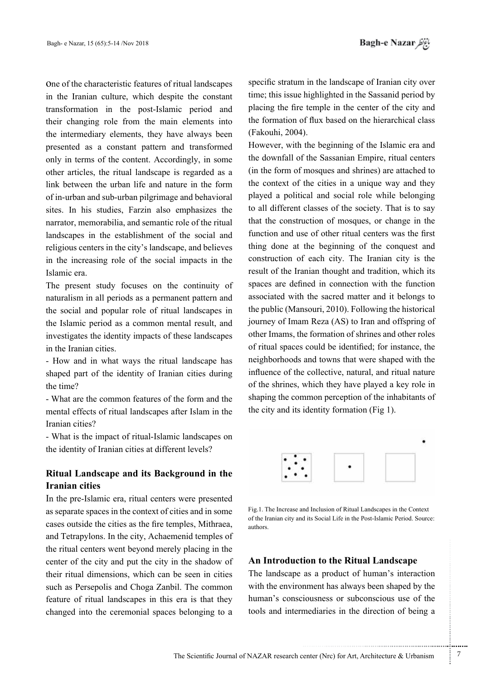One of the characteristic features of ritual landscapes in the Iranian culture, which despite the constant transformation in the post-Islamic period and their changing role from the main elements into the intermediary elements, they have always been presented as a constant pattern and transformed only in terms of the content. Accordingly, in some other articles, the ritual landscape is regarded as a link between the urban life and nature in the form of in-urban and sub-urban pilgrimage and behavioral sites. In his studies. Farzin also emphasizes the narrator, memorabilia, and semantic role of the ritual land scapes in the establishment of the social and religious centers in the city's landscape, and believes in the increasing role of the social impacts in the Islamic era

The present study focuses on the continuity of naturalism in all periods as a permanent pattern and the social and popular role of ritual landscapes in the Islamic period as a common mental result, and investigates the identity impacts of these landscapes in the Iranian cities.

- How and in what ways the ritual landscape has shaped part of the identity of Iranian cities during the time?

- What are the common features of the form and the mental effects of ritual landscapes after Islam in the Iranian cities?

- What is the impact of ritual-Islamic landscapes on the identity of Iranian cities at different levels?

## **Ritual Landscape and its Background in the Iranian** cities

In the pre-Islamic era, ritual centers were presented as separate spaces in the context of cities and in some cases outside the cities as the fire temples, Mithraea, and Tetrapylons. In the city, Achaemenid temples of the ritual centers went beyond merely placing in the center of the city and put the city in the shadow of their ritual dimensions, which can be seen in cities such as Persepolis and Choga Zanbil. The common feature of ritual landscapes in this era is that they changed into the ceremonial spaces belonging to a

specific stratum in the landscape of Iranian city over time; this issue highlighted in the Sassanid period by placing the fire temple in the center of the city and the formation of flux based on the hierarchical class (Fakouhi, 2004).

However, with the beginning of the Islamic era and the downfall of the Sassanian Empire, ritual centers (in the form of mosques and shrines) are attached to the context of the cities in a unique way and they played a political and social role while belonging to all different classes of the society. That is to say that the construction of mosques, or change in the function and use of other ritual centers was the first thing done at the beginning of the conquest and construction of each city. The Iranian city is the result of the Iranian thought and tradition, which its spaces are defined in connection with the function associated with the sacred matter and it belongs to the public (Mansouri, 2010). Following the historical journey of Imam Reza (AS) to Iran and offspring of other Imams, the formation of shrines and other roles of ritual spaces could be identified; for instance, the neighborhoods and towns that were shaped with the influence of the collective, natural, and ritual nature of the shrines, which they have played a key role in shaping the common perception of the inhabitants of the city and its identity formation (Fig 1).



Fig.1. The Increase and Inclusion of Ritual Landscapes in the Context of the Iranian city and its Social Life in the Post-Islamic Period. Source: .authors

## **An Introduction to the Ritual Landscape**

The landscape as a product of human's interaction with the environment has always been shaped by the human's consciousness or subconscious use of the tools and intermediaries in the direction of being a

.......... ....... ........ ........... ...... ....... ........ .......... ...........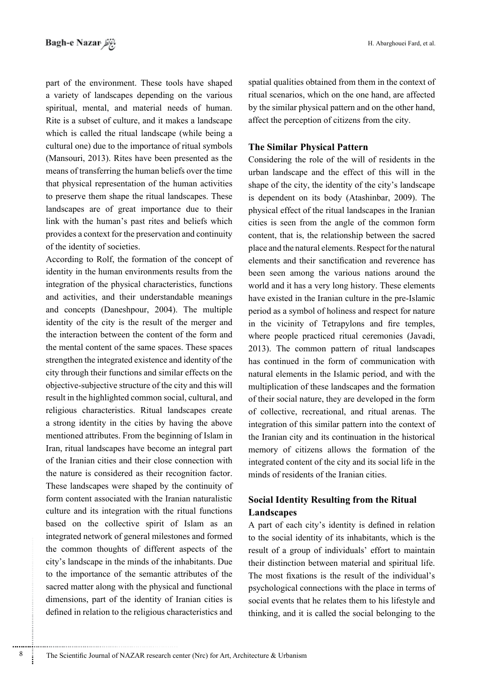part of the environment. These tools have shaped a variety of landscapes depending on the various spiritual, mental, and material needs of human. Rite is a subset of culture, and it makes a landscape which is called the ritual landscape (while being a cultural one) due to the importance of ritual symbols  $(Mansouri, 2013)$ . Rites have been presented as the means of transferring the human beliefs over the time that physical representation of the human activities to preserve them shape the ritual landscapes. These landscapes are of great importance due to their link with the human's past rites and beliefs which provides a context for the preservation and continuity of the identity of societies.

According to Rolf, the formation of the concept of identity in the human environments results from the integration of the physical characteristics, functions and activities, and their understandable meanings and concepts (Daneshpour, 2004). The multiple identity of the city is the result of the merger and the interaction between the content of the form and the mental content of the same spaces. These spaces strengthen the integrated existence and identity of the city through their functions and similar effects on the objective-subjective structure of the city and this will result in the highlighted common social, cultural, and religious characteristics. Ritual landscapes create a strong identity in the cities by having the above mentioned attributes. From the beginning of Islam in Iran, ritual landscapes have become an integral part of the Iranian cities and their close connection with the nature is considered as their recognition factor. These landscapes were shaped by the continuity of form content associated with the Iranian naturalistic culture and its integration with the ritual functions based on the collective spirit of Islam as an integrated network of general milestones and formed the common thoughts of different aspects of the city's landscape in the minds of the inhabitants. Due to the importance of the semantic attributes of the sacred matter along with the physical and functional dimensions, part of the identity of Iranian cities is defined in relation to the religious characteristics and spatial qualities obtained from them in the context of ritual scenarios, which on the one hand, are affected by the similar physical pattern and on the other hand, affect the perception of citizens from the city.

## **The Similar Physical Pattern**

Considering the role of the will of residents in the urban landscape and the effect of this will in the shape of the city, the identity of the city's landscape is dependent on its body (Atashinbar, 2009). The physical effect of the ritual landscapes in the Iranian cities is seen from the angle of the common form content, that is, the relationship between the sacred place and the natural elements. Respect for the natural elements and their sanctification and reverence has been seen among the various nations around the world and it has a very long history. These elements have existed in the Iranian culture in the pre-Islamic period as a symbol of holiness and respect for nature in the vicinity of Tetrapylons and fire temples, where people practiced ritual ceremonies (Javadi, 2013). The common pattern of ritual landscapes has continued in the form of communication with natural elements in the Islamic period, and with the multiplication of these landscapes and the formation of their social nature, they are developed in the form of collective, recreational, and ritual arenas. The integration of this similar pattern into the context of the Iranian city and its continuation in the historical memory of citizens allows the formation of the integrated content of the city and its social life in the minds of residents of the Iranian cities.

## **Social Identity Resulting from the Ritual Landscapes**

A part of each city's identity is defined in relation to the social identity of its inhabitants, which is the result of a group of individuals' effort to maintain their distinction between material and spiritual life. The most fixations is the result of the individual's psychological connections with the place in terms of social events that he relates them to his lifestyle and thinking, and it is called the social belonging to the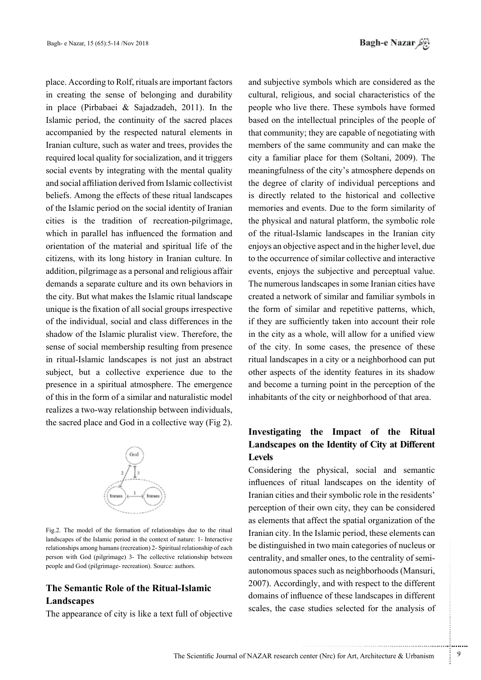place. According to Rolf, rituals are important factors in creating the sense of belonging and durability in place (Pirbabaei & Sajadzadeh, 2011). In the Islamic period, the continuity of the sacred places accompanied by the respected natural elements in Iranian culture, such as water and trees, provides the required local quality for socialization, and it triggers social events by integrating with the mental quality and social affiliation derived from Islamic collectivist beliefs. Among the effects of these ritual landscapes of the Islamic period on the social identity of Iranian cities is the tradition of recreation-pilgrimage, which in parallel has influenced the formation and orientation of the material and spiritual life of the citizens, with its long history in Iranian culture. In addition, pilgrimage as a personal and religious affair demands a separate culture and its own behaviors in the city. But what makes the Islamic ritual landscape unique is the fixation of all social groups irrespective of the individual, social and class differences in the shadow of the Islamic pluralist view. Therefore, the sense of social membership resulting from presence in ritual-Islamic landscapes is not just an abstract subject, but a collective experience due to the presence in a spiritual atmosphere. The emergence of this in the form of a similar and naturalistic model realizes a two-way relationship between individuals, the sacred place and God in a collective way  $(Fig 2)$ .



Fig.2. The model of the formation of relationships due to the ritual landscapes of the Islamic period in the context of nature: 1- Interactive relationships among humans (recreation) 2- Spiritual relationship of each person with God (pilgrimage) 3- The collective relationship between people and God (pilgrimage- recreation). Source: authors.

## **The Semantic Role of the Ritual-Islamic Landscapes**

The appearance of city is like a text full of objective

and subjective symbols which are considered as the cultural, religious, and social characteristics of the people who live there. These symbols have formed based on the intellectual principles of the people of that community; they are capable of negotiating with members of the same community and can make the city a familiar place for them (Soltani, 2009). The meaningfulness of the city's atmosphere depends on the degree of clarity of individual perceptions and is directly related to the historical and collective memories and events. Due to the form similarity of the physical and natural platform, the symbolic role of the ritual-Islamic landscapes in the Iranian city enjoys an objective aspect and in the higher level, due to the occurrence of similar collective and interactive events, enjoys the subjective and perceptual value. The numerous landscapes in some Iranian cities have created a network of similar and familiar symbols in the form of similar and repetitive patterns, which, if they are sufficiently taken into account their role in the city as a whole, will allow for a unified view of the city. In some cases, the presence of these ritual landscapes in a city or a neighborhood can put other aspects of the identity features in its shadow and become a turning point in the perception of the inhabitants of the city or neighborhood of that area.

## **Investigating the Impact of the Ritual Landscapes on the Identity of City at Different Levels**

Considering the physical, social and semantic influences of ritual landscapes on the identity of Iranian cities and their symbolic role in the residents' perception of their own city, they can be considered as elements that affect the spatial organization of the Iranian city. In the Islamic period, these elements can be distinguished in two main categories of nucleus or autonomous spaces such as neighborhoods (Mansuri, centrality, and smaller ones, to the centrality of semi-2007). Accordingly, and with respect to the different domains of influence of these landscapes in different scales, the case studies selected for the analysis of

.......... ....... ........ ........... ...... ....... ........ .......... ...........

The Scientific Journal of NAZAR research center (Nrc) for Art, Architecture & Urbanism  $\frac{9}{2}$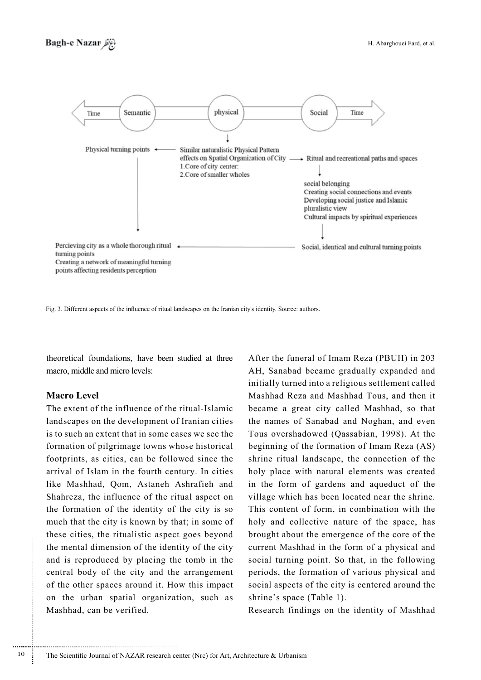

Fig. 3. Different aspects of the influence of ritual landscapes on the Iranian city's identity. Source: authors.

theoretical foundations, have been studied at three macro, middle and micro levels:

#### **Macro** Level

The extent of the influence of the ritual-Islamic landscapes on the development of Iranian cities is to such an extent that in some cases we see the formation of pilgrimage towns whose historical footprints, as cities, can be followed since the arrival of Islam in the fourth century. In cities like Mashhad, Qom, Astaneh Ashrafieh and Shahreza, the influence of the ritual aspect on the formation of the identity of the city is so much that the city is known by that; in some of these cities, the ritualistic aspect goes beyond the mental dimension of the identity of the city and is reproduced by placing the tomb in the central body of the city and the arrangement of the other spaces around it. How this impact on the urban spatial organization, such as Mashhad, can be verified.

After the funeral of Imam Reza (PBUH) in 203 AH, Sanabad became gradually expanded and initially turned into a religious settlement called Mashhad Reza and Mashhad Tous, and then it became a great city called Mashhad, so that the names of Sanabad and Noghan, and even Tous overshadowed (Qassabian, 1998). At the beginning of the formation of Imam Reza (AS) shrine ritual landscape, the connection of the holy place with natural elements was created in the form of gardens and aqueduct of the village which has been located near the shrine. This content of form, in combination with the holy and collective nature of the space, has brought about the emergence of the core of the current Mashhad in the form of a physical and social turning point. So that, in the following periods, the formation of various physical and social aspects of the city is centered around the shrine's space (Table 1).

Research findings on the identity of Mashhad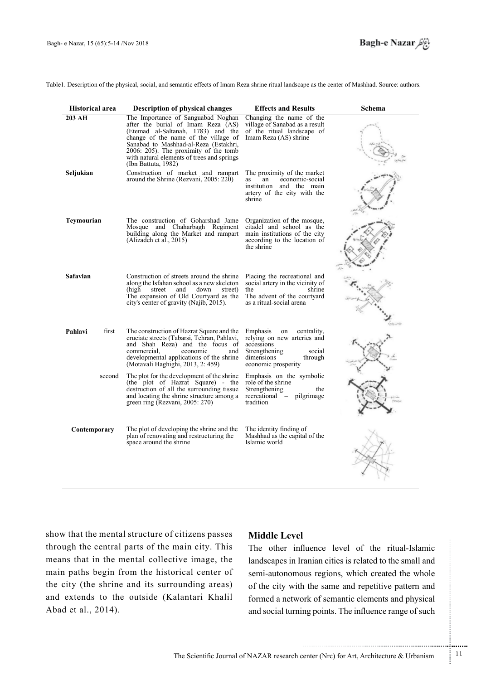Table1. Description of the physical, social, and semantic effects of Imam Reza shrine ritual landscape as the center of Mashhad. Source: authors.

| <b>Historical area</b> |        | <b>Description of physical changes</b>                                                                                                                                                                                                                                                                        | <b>Effects and Results</b>                                                                                                                            | Schema |
|------------------------|--------|---------------------------------------------------------------------------------------------------------------------------------------------------------------------------------------------------------------------------------------------------------------------------------------------------------------|-------------------------------------------------------------------------------------------------------------------------------------------------------|--------|
| 203 AH                 |        | The Importance of Sanguabad Noghan<br>after the burial of Imam Reza (AS)<br>(Etemad al-Saltanah, 1783) and the<br>change of the name of the village of<br>Sanabad to Mashhad-al-Reza (Estakhri,<br>2006: 205). The proximity of the tomb<br>with natural elements of trees and springs<br>(Ibn Battuta, 1982) | Changing the name of the<br>village of Sanabad as a result<br>of the ritual landscape of<br>Imam Reza (AS) shrine                                     |        |
| Seljukian              |        | Construction of market and rampart<br>around the Shrine (Rezvani, 2005: 220)                                                                                                                                                                                                                                  | The proximity of the market<br>economic-social<br>an<br><b>as</b><br>institution and the main<br>artery of the city with the<br>shrine                |        |
| Teymourian             |        | The construction of Goharshad Jame<br>Mosque and Chaharbagh Regiment<br>building along the Market and rampart<br>(Alizadeh et al., 2015)                                                                                                                                                                      | Organization of the mosque,<br>citadel and school as the<br>main institutions of the city<br>according to the location of<br>the shrine               |        |
| <b>Safavian</b>        |        | Construction of streets around the shrine<br>along the Isfahan school as a new skeleton<br>street<br>and<br>down<br>(high-<br>street)<br>The expansion of Old Courtyard as the<br>city's center of gravity (Najib, 2015).                                                                                     | Placing the recreational and<br>social artery in the vicinity of<br>the<br>shrine<br>The advent of the courtyard<br>as a ritual-social arena          |        |
| Pahlavi                | first  | The construction of Hazrat Square and the<br>cruciate streets (Tabarsi, Tehran, Pahlavi,<br>and Shah Reza) and the focus of<br>commercial.<br>economic<br>and<br>developmental applications of the shrine<br>(Motavali Haghighi, 2013, 2: 459)                                                                | Emphasis<br>centrality.<br>on<br>relying on new arteries and<br>accessions<br>Strengthening<br>social<br>dimensions<br>through<br>economic prosperity |        |
|                        | second | The plot for the development of the shrine<br>(the plot of Hazrat Square) - the<br>destruction of all the surrounding tissue<br>and locating the shrine structure among a<br>green ring (Rezvani, 2005: 270)                                                                                                  | Emphasis on the symbolic<br>role of the shrine<br>Strengthening<br>the<br>recreational –<br>pilgrimage<br>tradition                                   |        |
| Contemporary           |        | The plot of developing the shrine and the<br>plan of renovating and restructuring the<br>space around the shrine                                                                                                                                                                                              | The identity finding of<br>Mashhad as the capital of the<br>Islamic world                                                                             |        |

show that the mental structure of citizens passes through the central parts of the main city. This means that in the mental collective image, the main paths begin from the historical center of the city (the shrine and its surrounding areas) and extends to the outside (Kalantari Khalil Abad et al., 2014).

#### **Middle** Level

The other influence level of the ritual-Islamic land scapes in Iranian cities is related to the small and semi-autonomous regions, which created the whole of the city with the same and repetitive pattern and formed a network of semantic elements and physical and social turning points. The influence range of such

.......... ....... ........ ........... ...... ....... ........ .......... ...........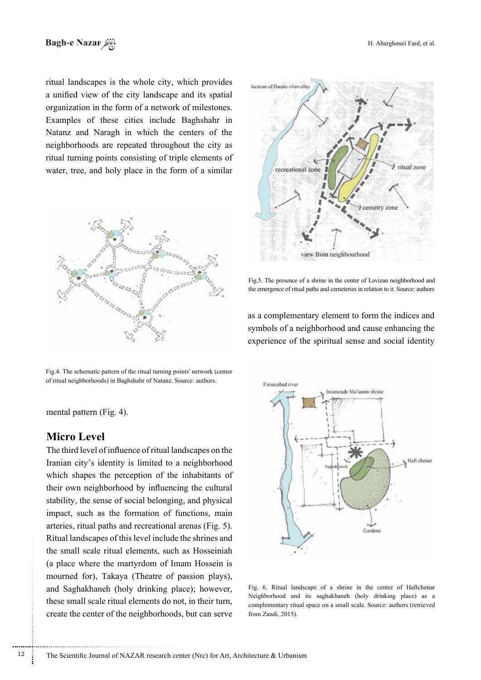ritual landscapes is the whole city, which provides a unified view of the city landscape and its spatial organization in the form of a network of milestones. Examples of these cities include Baghshahr in Natanz and Naragh in which the centers of the neighborhoods are repeated throughout the city as ritual turning points consisting of triple elements of water, tree, and holy place in the form of a similar



Fig.4. The schematic pattern of the ritual turning points' network (center of ritual neighborhoods) in Baghshahr of Natanz. Source: authors.

loctioan of Datake rivervalley ritual zone recreational zone cemetry zone view from neighbourhood

Fig.5. The presence of a shrine in the center of Lavizan neighborhood and the emergence of ritual paths and cemeteries in relation to it. Source: authors

as a complementary element to form the indices and symbols of a neighborhood and cause enhancing the experience of the spiritual sense and social identity



Fig. 6. Ritual landscape of a shrine in the center of Haftchenar Neighborhood and its saghakhaneh (holy drinking place) as a complementary ritual space on a small scale. Source: authors (retrieved from Zandi, 2015).

mental pattern (Fig. 4).

## **Level Micro**

The third level of influence of ritual landscapes on the Iranian city's identity is limited to a neighborhood which shapes the perception of the inhabitants of their own neighborhood by influencing the cultural stability, the sense of social belonging, and physical impact, such as the formation of functions, main arteries, ritual paths and recreational arenas (Fig. 5). Ritual landscapes of this level include the shrines and the small scale ritual elements, such as Hosseiniah (a place where the martyrdom of Imam Hossein is mourned for), Takaya (Theatre of passion plays), and Saghakhaneh (holy drinking place); however, these small scale ritual elements do not, in their turn, create the center of the neighborhoods, but can serve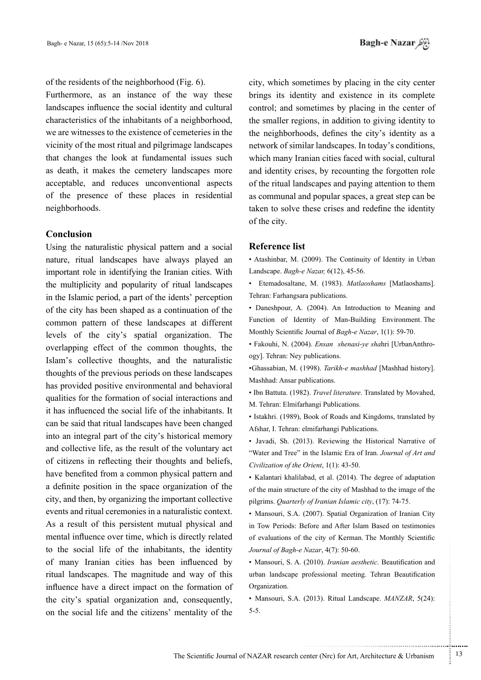of the residents of the neighborhood (Fig.  $6$ ).

Furthermore, as an instance of the way these land scapes influence the social identity and cultural characteristics of the inhabitants of a neighborhood, we are witnesses to the existence of cemeteries in the vicinity of the most ritual and pilgrimage landscapes that changes the look at fundamental issues such as death, it makes the cemetery landscapes more acceptable, and reduces unconventional aspects of the presence of these places in residential neighborhoods.

#### **Conclusion**

Using the naturalistic physical pattern and a social nature, ritual landscapes have always played an important role in identifying the Iranian cities. With the multiplicity and popularity of ritual landscapes in the Islamic period, a part of the idents' perception of the city has been shaped as a continuation of the common pattern of these landscapes at different levels of the city's spatial organization. The overlapping effect of the common thoughts, the Islam's collective thoughts, and the naturalistic thoughts of the previous periods on these landscapes has provided positive environmental and behavioral qualities for the formation of social interactions and it has influenced the social life of the inhabitants. It can be said that ritual landscapes have been changed into an integral part of the city's historical memory and collective life, as the result of the voluntary act of citizens in reflecting their thoughts and beliefs, have benefited from a common physical pattern and a definite position in the space organization of the city, and then, by organizing the important collective events and ritual ceremonies in a naturalistic context. As a result of this persistent mutual physical and mental influence over time, which is directly related to the social life of the inhabitants, the identity of many Iranian cities has been influenced by ritual landscapes. The magnitude and way of this influence have a direct impact on the formation of the city's spatial organization and, consequently, on the social life and the citizens' mentality of the

city, which sometimes by placing in the city center brings its identity and existence in its complete control; and sometimes by placing in the center of the smaller regions, in addition to giving identity to the neighborhoods, defines the city's identity as a network of similar landscapes. In today's conditions, which many Iranian cities faced with social, cultural and identity crises, by recounting the forgotten role of the ritual landscapes and paying attention to them as communal and popular spaces, a great step can be taken to solve these crises and redefine the identity of the city.

#### **Reference** list

• Atashinbar, M. (2009). The Continuity of Identity in Urban Landscape. *Bagh-e Nazar*, 6(12), 45-56.

• Etemadosaltane, M. (1983). Matlaoshams [Matlaoshams]. Tehran: Farhangsara publications.

• Daneshpour, A. (2004). An Introduction to Meaning and Function of Identity of Man-Building Environment. The Monthly Scientific Journal of Bagh-e Nazar, 1(1): 59-70.

• Fakouhi, N. (2004). *Ensan shenasi-ye sha*hri [UrbanAnthro-<br>ogy]. Tehran: Ney publications.

•Ghassabian, M. (1998). Tarikh-e mashhad [Mashhad history]. Mashhad: Ansar publications.

• Ibn Battuta. (1982). *Travel literature*. Translated by Movahed, M. Tehran: Elmifarhangi Publications.

• Istakhri. (1989), Book of Roads and Kingdoms, translated by Afshar, I. Tehran: elmifarhangi Publications.

• Javadi, Sh. (2013). Reviewing the Historical Narrative of "Water and Tree" in the Islamic Era of Iran. Journal of Art and Civilization of the Orient, 1(1): 43-50.

• Kalantari khalilabad, et al. (2014). The degree of adaptation of the main structure of the city of Mashhad to the image of the pilgrims. *Quarterly of Iranian Islamic city*. (17): 74-75.

• Mansouri, S.A. (2007). Spatial Organization of Iranian City in Tow Periods: Before and After Islam Based on testimonies of evaluations of the city of Kerman. The Monthly Scientific Journal of Bagh-e Nazar, 4(7): 50-60.

• Mansouri, S. A. (2010). *Iranian aesthetic*. Beautification and urban landscape professional meeting. Tehran Beautification Organization.

• Mansouri, S.A. (2013). Ritual Landscape. *MANZAR*. 5(24): 5-5.

.......... ....... ........ ........... ...... ....... ........ .......... ...........